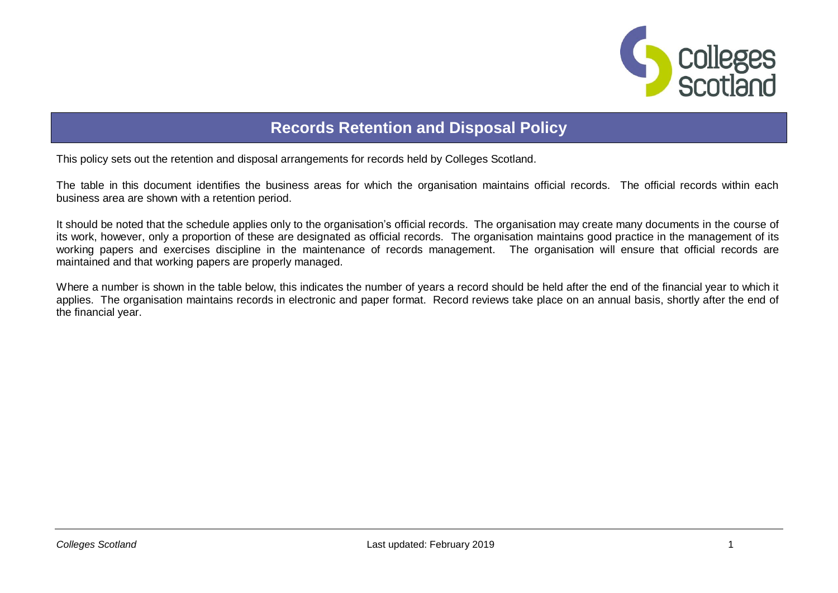

## **Records Retention and Disposal Policy**

This policy sets out the retention and disposal arrangements for records held by Colleges Scotland.

The table in this document identifies the business areas for which the organisation maintains official records. The official records within each business area are shown with a retention period.

It should be noted that the schedule applies only to the organisation's official records. The organisation may create many documents in the course of its work, however, only a proportion of these are designated as official records. The organisation maintains good practice in the management of its working papers and exercises discipline in the maintenance of records management. The organisation will ensure that official records are maintained and that working papers are properly managed.

Where a number is shown in the table below, this indicates the number of years a record should be held after the end of the financial year to which it applies. The organisation maintains records in electronic and paper format. Record reviews take place on an annual basis, shortly after the end of the financial year.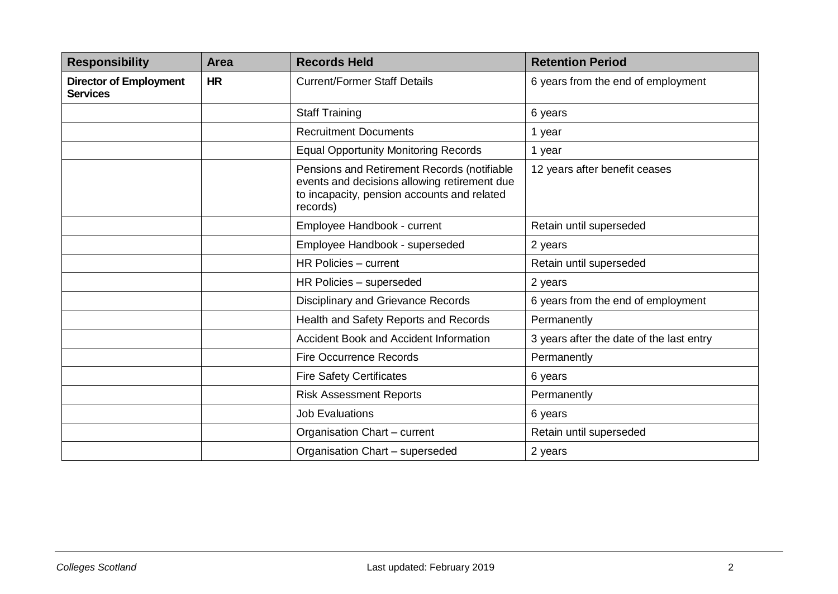| <b>Responsibility</b>                            | Area      | <b>Records Held</b>                                                                                                                                    | <b>Retention Period</b>                  |
|--------------------------------------------------|-----------|--------------------------------------------------------------------------------------------------------------------------------------------------------|------------------------------------------|
| <b>Director of Employment</b><br><b>Services</b> | <b>HR</b> | <b>Current/Former Staff Details</b>                                                                                                                    | 6 years from the end of employment       |
|                                                  |           | <b>Staff Training</b>                                                                                                                                  | 6 years                                  |
|                                                  |           | <b>Recruitment Documents</b>                                                                                                                           | 1 year                                   |
|                                                  |           | <b>Equal Opportunity Monitoring Records</b>                                                                                                            | 1 year                                   |
|                                                  |           | Pensions and Retirement Records (notifiable<br>events and decisions allowing retirement due<br>to incapacity, pension accounts and related<br>records) | 12 years after benefit ceases            |
|                                                  |           | Employee Handbook - current                                                                                                                            | Retain until superseded                  |
|                                                  |           | Employee Handbook - superseded                                                                                                                         | 2 years                                  |
|                                                  |           | HR Policies - current                                                                                                                                  | Retain until superseded                  |
|                                                  |           | HR Policies - superseded                                                                                                                               | 2 years                                  |
|                                                  |           | Disciplinary and Grievance Records                                                                                                                     | 6 years from the end of employment       |
|                                                  |           | Health and Safety Reports and Records                                                                                                                  | Permanently                              |
|                                                  |           | Accident Book and Accident Information                                                                                                                 | 3 years after the date of the last entry |
|                                                  |           | <b>Fire Occurrence Records</b>                                                                                                                         | Permanently                              |
|                                                  |           | <b>Fire Safety Certificates</b>                                                                                                                        | 6 years                                  |
|                                                  |           | <b>Risk Assessment Reports</b>                                                                                                                         | Permanently                              |
|                                                  |           | <b>Job Evaluations</b>                                                                                                                                 | 6 years                                  |
|                                                  |           | Organisation Chart - current                                                                                                                           | Retain until superseded                  |
|                                                  |           | Organisation Chart - superseded                                                                                                                        | 2 years                                  |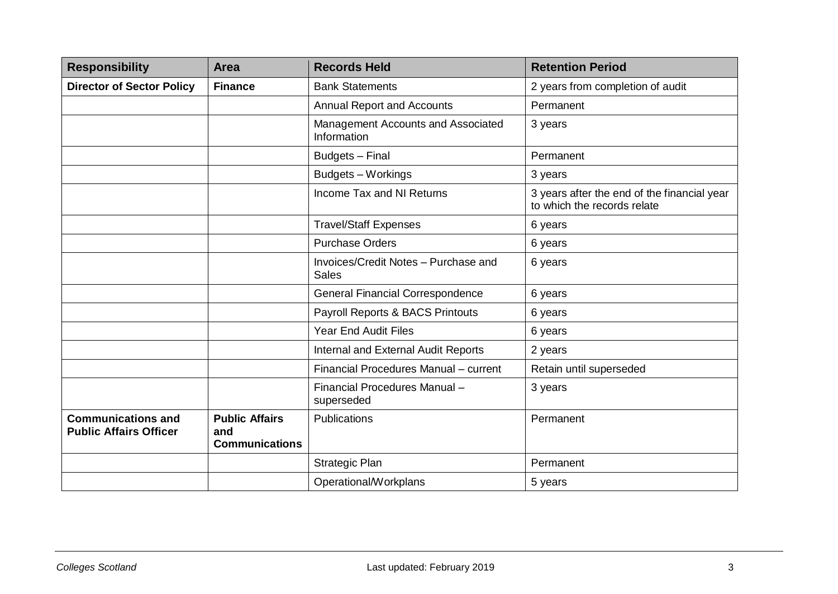| <b>Responsibility</b>                                      | <b>Area</b>                                           | <b>Records Held</b>                                  | <b>Retention Period</b>                                                    |
|------------------------------------------------------------|-------------------------------------------------------|------------------------------------------------------|----------------------------------------------------------------------------|
| <b>Director of Sector Policy</b>                           | <b>Finance</b>                                        | <b>Bank Statements</b>                               | 2 years from completion of audit                                           |
|                                                            |                                                       | <b>Annual Report and Accounts</b>                    | Permanent                                                                  |
|                                                            |                                                       | Management Accounts and Associated<br>Information    | 3 years                                                                    |
|                                                            |                                                       | Budgets - Final                                      | Permanent                                                                  |
|                                                            |                                                       | Budgets - Workings                                   | 3 years                                                                    |
|                                                            |                                                       | Income Tax and NI Returns                            | 3 years after the end of the financial year<br>to which the records relate |
|                                                            |                                                       | <b>Travel/Staff Expenses</b>                         | 6 years                                                                    |
|                                                            |                                                       | <b>Purchase Orders</b>                               | 6 years                                                                    |
|                                                            |                                                       | Invoices/Credit Notes - Purchase and<br><b>Sales</b> | 6 years                                                                    |
|                                                            |                                                       | <b>General Financial Correspondence</b>              | 6 years                                                                    |
|                                                            |                                                       | Payroll Reports & BACS Printouts                     | 6 years                                                                    |
|                                                            |                                                       | <b>Year End Audit Files</b>                          | 6 years                                                                    |
|                                                            |                                                       | Internal and External Audit Reports                  | 2 years                                                                    |
|                                                            |                                                       | Financial Procedures Manual - current                | Retain until superseded                                                    |
|                                                            |                                                       | Financial Procedures Manual-<br>superseded           | 3 years                                                                    |
| <b>Communications and</b><br><b>Public Affairs Officer</b> | <b>Public Affairs</b><br>and<br><b>Communications</b> | Publications                                         | Permanent                                                                  |
|                                                            |                                                       | Strategic Plan                                       | Permanent                                                                  |
|                                                            |                                                       | Operational/Workplans                                | 5 years                                                                    |